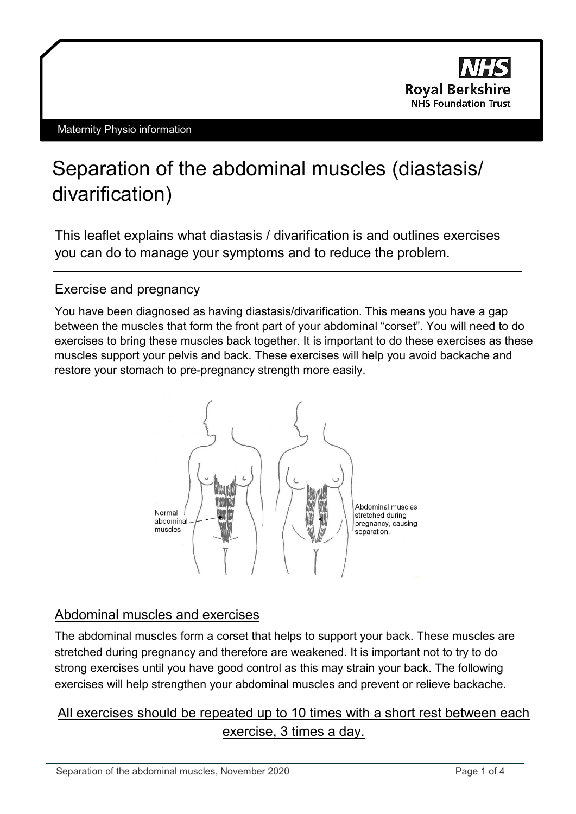

# Separation of the abdominal muscles (diastasis/ divarification)

This leaflet explains what diastasis / divarification is and outlines exercises you can do to manage your symptoms and to reduce the problem.

# Exercise and pregnancy

You have been diagnosed as having diastasis/divarification. This means you have a gap between the muscles that form the front part of your abdominal "corset". You will need to do exercises to bring these muscles back together. It is important to do these exercises as these muscles support your pelvis and back. These exercises will help you avoid backache and restore your stomach to pre-pregnancy strength more easily.



# Abdominal muscles and exercises

The abdominal muscles form a corset that helps to support your back. These muscles are stretched during pregnancy and therefore are weakened. It is important not to try to do strong exercises until you have good control as this may strain your back. The following exercises will help strengthen your abdominal muscles and prevent or relieve backache.

# All exercises should be repeated up to 10 times with a short rest between each exercise, 3 times a day.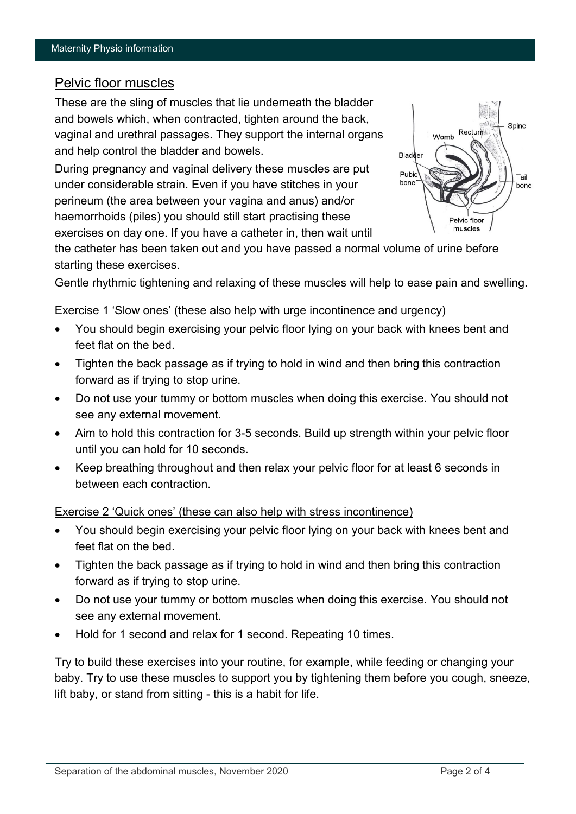## Pelvic floor muscles

These are the sling of muscles that lie underneath the bladder and bowels which, when contracted, tighten around the back, vaginal and urethral passages. They support the internal organs and help control the bladder and bowels.

During pregnancy and vaginal delivery these muscles are put under considerable strain. Even if you have stitches in your perineum (the area between your vagina and anus) and/or haemorrhoids (piles) you should still start practising these exercises on day one. If you have a catheter in, then wait until



the catheter has been taken out and you have passed a normal volume of urine before starting these exercises.

Gentle rhythmic tightening and relaxing of these muscles will help to ease pain and swelling.

#### Exercise 1 'Slow ones' (these also help with urge incontinence and urgency)

- You should begin exercising your pelvic floor lying on your back with knees bent and feet flat on the bed.
- Tighten the back passage as if trying to hold in wind and then bring this contraction forward as if trying to stop urine.
- Do not use your tummy or bottom muscles when doing this exercise. You should not see any external movement.
- Aim to hold this contraction for 3-5 seconds. Build up strength within your pelvic floor until you can hold for 10 seconds.
- Keep breathing throughout and then relax your pelvic floor for at least 6 seconds in between each contraction.

#### Exercise 2 'Quick ones' (these can also help with stress incontinence)

- You should begin exercising your pelvic floor lying on your back with knees bent and feet flat on the bed.
- Tighten the back passage as if trying to hold in wind and then bring this contraction forward as if trying to stop urine.
- Do not use your tummy or bottom muscles when doing this exercise. You should not see any external movement.
- Hold for 1 second and relax for 1 second. Repeating 10 times.

Try to build these exercises into your routine, for example, while feeding or changing your baby. Try to use these muscles to support you by tightening them before you cough, sneeze, lift baby, or stand from sitting - this is a habit for life.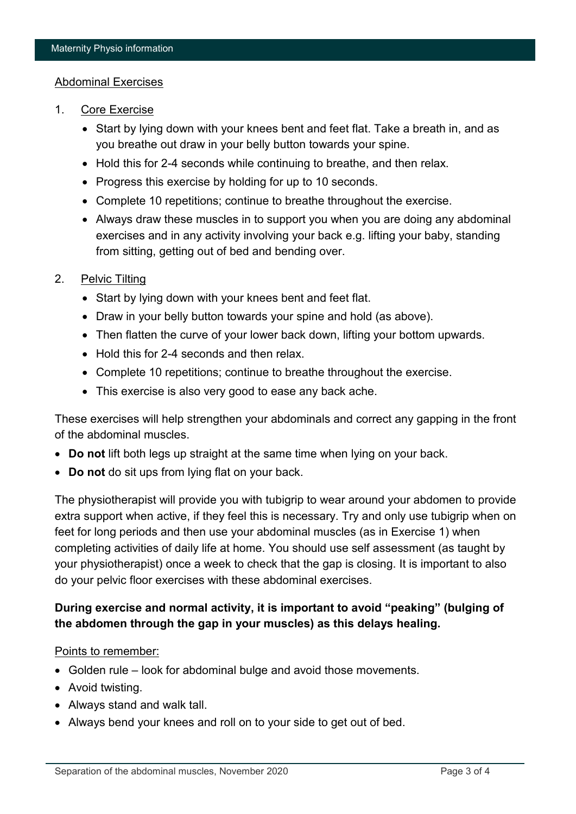#### Abdominal Exercises

- 1. Core Exercise
	- Start by lying down with your knees bent and feet flat. Take a breath in, and as you breathe out draw in your belly button towards your spine.
	- Hold this for 2-4 seconds while continuing to breathe, and then relax.
	- Progress this exercise by holding for up to 10 seconds.
	- Complete 10 repetitions; continue to breathe throughout the exercise.
	- Always draw these muscles in to support you when you are doing any abdominal exercises and in any activity involving your back e.g. lifting your baby, standing from sitting, getting out of bed and bending over.

#### 2. Pelvic Tilting

- Start by lying down with your knees bent and feet flat.
- Draw in your belly button towards your spine and hold (as above).
- Then flatten the curve of your lower back down, lifting your bottom upwards.
- Hold this for 2-4 seconds and then relax.
- Complete 10 repetitions; continue to breathe throughout the exercise.
- This exercise is also very good to ease any back ache.

These exercises will help strengthen your abdominals and correct any gapping in the front of the abdominal muscles.

- **Do not** lift both legs up straight at the same time when lying on your back.
- **Do not** do sit ups from lying flat on your back.

The physiotherapist will provide you with tubigrip to wear around your abdomen to provide extra support when active, if they feel this is necessary. Try and only use tubigrip when on feet for long periods and then use your abdominal muscles (as in Exercise 1) when completing activities of daily life at home. You should use self assessment (as taught by your physiotherapist) once a week to check that the gap is closing. It is important to also do your pelvic floor exercises with these abdominal exercises.

## **During exercise and normal activity, it is important to avoid "peaking" (bulging of the abdomen through the gap in your muscles) as this delays healing.**

#### Points to remember:

- Golden rule look for abdominal bulge and avoid those movements.
- Avoid twisting.
- Always stand and walk tall.
- Always bend your knees and roll on to your side to get out of bed.